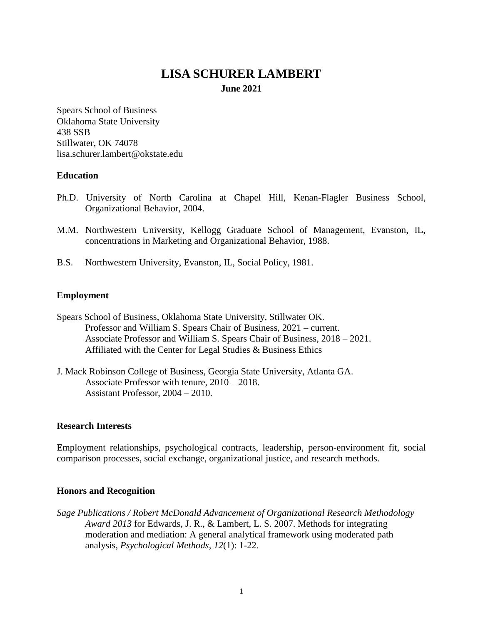# **LISA SCHURER LAMBERT**

**June 2021**

Spears School of Business Oklahoma State University 438 SSB Stillwater, OK 74078 lisa.schurer.lambert@okstate.edu

## **Education**

- Ph.D. University of North Carolina at Chapel Hill, Kenan-Flagler Business School, Organizational Behavior, 2004.
- M.M. Northwestern University, Kellogg Graduate School of Management, Evanston, IL, concentrations in Marketing and Organizational Behavior, 1988.
- B.S. Northwestern University, Evanston, IL, Social Policy, 1981.

## **Employment**

- Spears School of Business, Oklahoma State University, Stillwater OK. Professor and William S. Spears Chair of Business, 2021 – current. Associate Professor and William S. Spears Chair of Business, 2018 – 2021. Affiliated with the Center for Legal Studies & Business Ethics
- J. Mack Robinson College of Business, Georgia State University, Atlanta GA. Associate Professor with tenure, 2010 – 2018. Assistant Professor, 2004 – 2010.

## **Research Interests**

Employment relationships, psychological contracts, leadership, person-environment fit, social comparison processes, social exchange, organizational justice, and research methods.

## **Honors and Recognition**

*Sage Publications / Robert McDonald Advancement of Organizational Research Methodology Award 2013* for Edwards, J. R., & Lambert, L. S. 2007. Methods for integrating moderation and mediation: A general analytical framework using moderated path analysis, *Psychological Methods*, *12*(1): 1-22.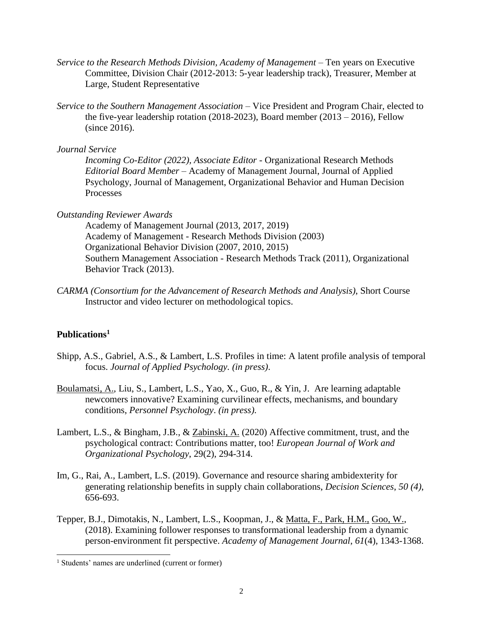- *Service to the Research Methods Division, Academy of Management –* Ten years on Executive Committee, Division Chair (2012-2013: 5-year leadership track), Treasurer, Member at Large, Student Representative
- *Service to the Southern Management Association* Vice President and Program Chair, elected to the five-year leadership rotation (2018-2023), Board member (2013 – 2016), Fellow (since 2016).

*Journal Service* 

*Incoming Co-Editor (2022), Associate Editor -* Organizational Research Methods *Editorial Board Member* – Academy of Management Journal, Journal of Applied Psychology, Journal of Management, Organizational Behavior and Human Decision Processes

#### *Outstanding Reviewer Awards*

Academy of Management Journal (2013, 2017, 2019) Academy of Management - Research Methods Division (2003) Organizational Behavior Division (2007, 2010, 2015) Southern Management Association - Research Methods Track (2011), Organizational Behavior Track (2013).

*CARMA (Consortium for the Advancement of Research Methods and Analysis)*, Short Course Instructor and video lecturer on methodological topics.

## **Publications<sup>1</sup>**

l

- Shipp, A.S., Gabriel, A.S., & Lambert, L.S. Profiles in time: A latent profile analysis of temporal focus. *Journal of Applied Psychology. (in press)*.
- Boulamatsi, A., Liu, S., Lambert, L.S., Yao, X., Guo, R., & Yin, J. Are learning adaptable newcomers innovative? Examining curvilinear effects, mechanisms, and boundary conditions, *Personnel Psychology*. *(in press).*
- Lambert, L.S., & Bingham, J.B., & Zabinski, A. (2020) Affective commitment, trust, and the psychological contract: Contributions matter, too! *European Journal of Work and Organizational Psychology*, 29(2), 294-314.
- Im, G., Rai, A., Lambert, L.S. (2019). Governance and resource sharing ambidexterity for generating relationship benefits in supply chain collaborations, *Decision Sciences*, *50 (4)*, 656-693.
- Tepper, B.J., Dimotakis, N., Lambert, L.S., Koopman, J., & Matta, F., Park, H.M., Goo, W., (2018). Examining follower responses to transformational leadership from a dynamic person-environment fit perspective. *Academy of Management Journal*, *61*(4), 1343-1368.

<sup>1</sup> Students' names are underlined (current or former)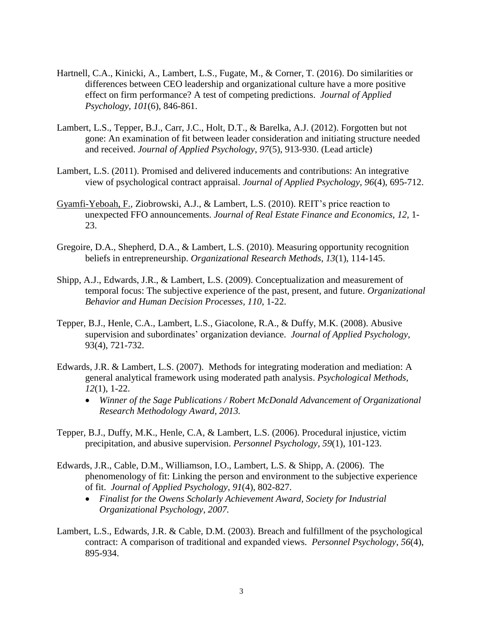- Hartnell, C.A., Kinicki, A., Lambert, L.S., Fugate, M., & Corner, T. (2016). Do similarities or differences between CEO leadership and organizational culture have a more positive effect on firm performance? A test of competing predictions. *Journal of Applied Psychology, 101*(6), 846-861.
- Lambert, L.S., Tepper, B.J., Carr, J.C., Holt, D.T., & Barelka, A.J. (2012). Forgotten but not gone: An examination of fit between leader consideration and initiating structure needed and received. *Journal of Applied Psychology*, *97*(5), 913-930. (Lead article)
- Lambert, L.S. (2011). Promised and delivered inducements and contributions: An integrative view of psychological contract appraisal. *Journal of Applied Psychology, 96*(4), 695-712.
- Gyamfi-Yeboah, F., Ziobrowski, A.J., & Lambert, L.S. (2010). REIT's price reaction to unexpected FFO announcements. *Journal of Real Estate Finance and Economics, 12,* 1- 23.
- Gregoire, D.A., Shepherd, D.A., & Lambert, L.S. (2010). Measuring opportunity recognition beliefs in entrepreneurship. *Organizational Research Methods*, *13*(1), 114-145.
- Shipp, A.J., Edwards, J.R., & Lambert, L.S. (2009). Conceptualization and measurement of temporal focus: The subjective experience of the past, present, and future. *Organizational Behavior and Human Decision Processes, 110*, 1-22.
- Tepper, B.J., Henle, C.A., Lambert, L.S., Giacolone, R.A., & Duffy, M.K. (2008). Abusive supervision and subordinates' organization deviance. *Journal of Applied Psychology*, 93(4), 721-732.
- Edwards, J.R. & Lambert, L.S. (2007). Methods for integrating moderation and mediation: A general analytical framework using moderated path analysis. *Psychological Methods*, *12*(1), 1-22.
	- *Winner of the Sage Publications / Robert McDonald Advancement of Organizational Research Methodology Award, 2013.*
- Tepper, B.J., Duffy, M.K., Henle, C.A, & Lambert, L.S. (2006). Procedural injustice, victim precipitation, and abusive supervision. *Personnel Psychology, 59*(1), 101-123.
- Edwards, J.R., Cable, D.M., Williamson, I.O., Lambert, L.S. & Shipp, A. (2006). The phenomenology of fit: Linking the person and environment to the subjective experience of fit. *Journal of Applied Psychology*, *91*(4), 802-827.
	- *Finalist for the Owens Scholarly Achievement Award, Society for Industrial Organizational Psychology, 2007.*
- Lambert, L.S., Edwards, J.R. & Cable, D.M. (2003). Breach and fulfillment of the psychological contract: A comparison of traditional and expanded views. *Personnel Psychology*, *56*(4), 895-934.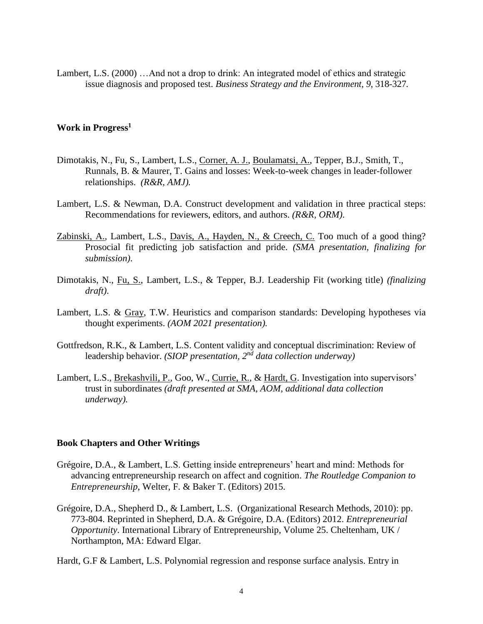Lambert, L.S. (2000) …And not a drop to drink: An integrated model of ethics and strategic issue diagnosis and proposed test. *Business Strategy and the Environment, 9*, 318-327*.*

## **Work in Progress<sup>1</sup>**

- Dimotakis, N., Fu, S., Lambert, L.S., Corner, A. J., Boulamatsi, A., Tepper, B.J., Smith, T., Runnals, B. & Maurer, T. Gains and losses: Week-to-week changes in leader-follower relationships. *(R&R, AMJ).*
- Lambert, L.S. & Newman, D.A. Construct development and validation in three practical steps: Recommendations for reviewers, editors, and authors. *(R&R, ORM)*.
- Zabinski, A., Lambert, L.S., Davis, A., Hayden, N., & Creech, C. Too much of a good thing? Prosocial fit predicting job satisfaction and pride. *(SMA presentation, finalizing for submission)*.
- Dimotakis, N., Fu, S., Lambert, L.S., & Tepper, B.J. Leadership Fit (working title) *(finalizing draft)*.
- Lambert, L.S. & Gray, T.W. Heuristics and comparison standards: Developing hypotheses via thought experiments. *(AOM 2021 presentation).*
- Gottfredson, R.K., & Lambert, L.S. Content validity and conceptual discrimination: Review of leadership behavior. *(SIOP presentation, 2nd data collection underway)*
- Lambert, L.S., Brekashvili, P., Goo, W., Currie, R., & Hardt, G. Investigation into supervisors' trust in subordinates *(draft presented at SMA, AOM, additional data collection underway).*

#### **Book Chapters and Other Writings**

- Grégoire, D.A., & Lambert, L.S. Getting inside entrepreneurs' heart and mind: Methods for advancing entrepreneurship research on affect and cognition. *The Routledge Companion to Entrepreneurship*, Welter, F. & Baker T. (Editors) 2015.
- Grégoire, D.A., Shepherd D., & Lambert, L.S. (Organizational Research Methods, 2010): pp. 773-804. Reprinted in Shepherd, D.A. & Grégoire, D.A. (Editors) 2012. *Entrepreneurial Opportunity*. International Library of Entrepreneurship, Volume 25. Cheltenham, UK / Northampton, MA: Edward Elgar.
- Hardt, G.F & Lambert, L.S. Polynomial regression and response surface analysis. Entry in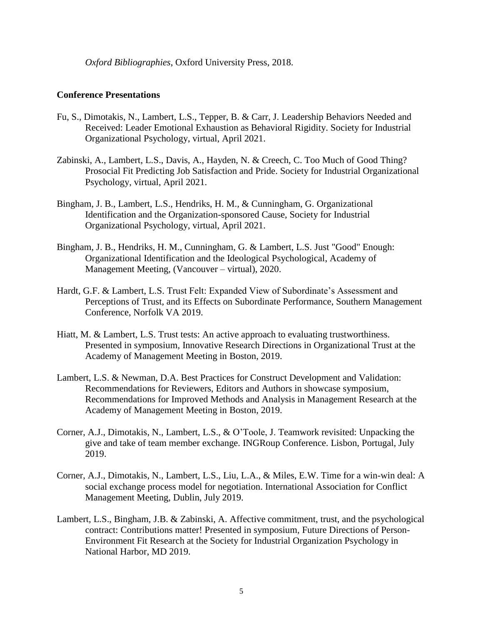*Oxford Bibliographies*, Oxford University Press, 2018.

## **Conference Presentations**

- Fu, S., Dimotakis, N., Lambert, L.S., Tepper, B. & Carr, J. Leadership Behaviors Needed and Received: Leader Emotional Exhaustion as Behavioral Rigidity. Society for Industrial Organizational Psychology, virtual, April 2021.
- Zabinski, A., Lambert, L.S., Davis, A., Hayden, N. & Creech, C. Too Much of Good Thing? Prosocial Fit Predicting Job Satisfaction and Pride. Society for Industrial Organizational Psychology, virtual, April 2021.
- Bingham, J. B., Lambert, L.S., Hendriks, H. M., & Cunningham, G. Organizational Identification and the Organization-sponsored Cause, Society for Industrial Organizational Psychology, virtual, April 2021.
- Bingham, J. B., Hendriks, H. M., Cunningham, G. & Lambert, L.S. Just "Good" Enough: Organizational Identification and the Ideological Psychological, Academy of Management Meeting, (Vancouver – virtual), 2020.
- Hardt, G.F. & Lambert, L.S. Trust Felt: Expanded View of Subordinate's Assessment and Perceptions of Trust, and its Effects on Subordinate Performance, Southern Management Conference, Norfolk VA 2019.
- Hiatt, M. & Lambert, L.S. Trust tests: An active approach to evaluating trustworthiness. Presented in symposium, Innovative Research Directions in Organizational Trust at the Academy of Management Meeting in Boston, 2019.
- Lambert, L.S. & Newman, D.A. Best Practices for Construct Development and Validation: Recommendations for Reviewers, Editors and Authors in showcase symposium, Recommendations for Improved Methods and Analysis in Management Research at the Academy of Management Meeting in Boston, 2019.
- Corner, A.J., Dimotakis, N., Lambert, L.S., & O'Toole, J. Teamwork revisited: Unpacking the give and take of team member exchange. INGRoup Conference. Lisbon, Portugal, July 2019.
- Corner, A.J., Dimotakis, N., Lambert, L.S., Liu, L.A., & Miles, E.W. Time for a win-win deal: A social exchange process model for negotiation. International Association for Conflict Management Meeting, Dublin, July 2019.
- Lambert, L.S., Bingham, J.B. & Zabinski, A. Affective commitment, trust, and the psychological contract: Contributions matter! Presented in symposium, Future Directions of Person-Environment Fit Research at the Society for Industrial Organization Psychology in National Harbor, MD 2019.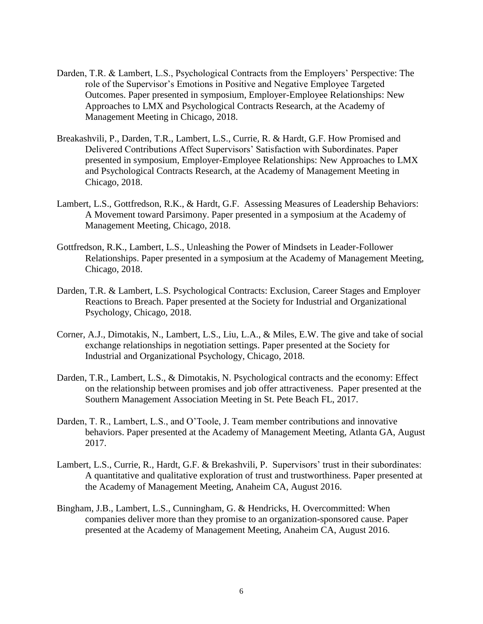- Darden, T.R. & Lambert, L.S., Psychological Contracts from the Employers' Perspective: The role of the Supervisor's Emotions in Positive and Negative Employee Targeted Outcomes. Paper presented in symposium, Employer-Employee Relationships: New Approaches to LMX and Psychological Contracts Research, at the Academy of Management Meeting in Chicago, 2018.
- Breakashvili, P., Darden, T.R., Lambert, L.S., Currie, R. & Hardt, G.F. How Promised and Delivered Contributions Affect Supervisors' Satisfaction with Subordinates. Paper presented in symposium, Employer-Employee Relationships: New Approaches to LMX and Psychological Contracts Research, at the Academy of Management Meeting in Chicago, 2018.
- Lambert, L.S., Gottfredson, R.K., & Hardt, G.F. Assessing Measures of Leadership Behaviors: A Movement toward Parsimony. Paper presented in a symposium at the Academy of Management Meeting, Chicago, 2018.
- Gottfredson, R.K., Lambert, L.S., Unleashing the Power of Mindsets in Leader-Follower Relationships. Paper presented in a symposium at the Academy of Management Meeting, Chicago, 2018.
- Darden, T.R. & Lambert, L.S. Psychological Contracts: Exclusion, Career Stages and Employer Reactions to Breach. Paper presented at the Society for Industrial and Organizational Psychology, Chicago, 2018.
- Corner, A.J., Dimotakis, N., Lambert, L.S., Liu, L.A., & Miles, E.W. The give and take of social exchange relationships in negotiation settings. Paper presented at the Society for Industrial and Organizational Psychology, Chicago, 2018.
- Darden, T.R., Lambert, L.S., & Dimotakis, N. Psychological contracts and the economy: Effect on the relationship between promises and job offer attractiveness. Paper presented at the Southern Management Association Meeting in St. Pete Beach FL, 2017.
- Darden, T. R., Lambert, L.S., and O'Toole, J. Team member contributions and innovative behaviors. Paper presented at the Academy of Management Meeting, Atlanta GA, August 2017.
- Lambert, L.S., Currie, R., Hardt, G.F. & Brekashvili, P. Supervisors' trust in their subordinates: A quantitative and qualitative exploration of trust and trustworthiness. Paper presented at the Academy of Management Meeting, Anaheim CA, August 2016.
- Bingham, J.B., Lambert, L.S., Cunningham, G. & Hendricks, H. Overcommitted: When companies deliver more than they promise to an organization-sponsored cause. Paper presented at the Academy of Management Meeting, Anaheim CA, August 2016.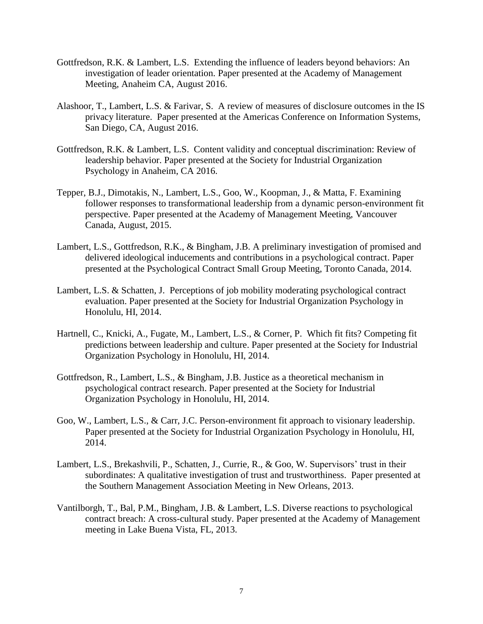- Gottfredson, R.K. & Lambert, L.S. Extending the influence of leaders beyond behaviors: An investigation of leader orientation. Paper presented at the Academy of Management Meeting, Anaheim CA, August 2016.
- Alashoor, T., Lambert, L.S. & Farivar, S. A review of measures of disclosure outcomes in the IS privacy literature. Paper presented at the Americas Conference on Information Systems, San Diego, CA, August 2016.
- Gottfredson, R.K. & Lambert, L.S. Content validity and conceptual discrimination: Review of leadership behavior. Paper presented at the Society for Industrial Organization Psychology in Anaheim, CA 2016.
- Tepper, B.J., Dimotakis, N., Lambert, L.S., Goo, W., Koopman, J., & Matta, F. Examining follower responses to transformational leadership from a dynamic person-environment fit perspective. Paper presented at the Academy of Management Meeting, Vancouver Canada, August, 2015.
- Lambert, L.S., Gottfredson, R.K., & Bingham, J.B. A preliminary investigation of promised and delivered ideological inducements and contributions in a psychological contract. Paper presented at the Psychological Contract Small Group Meeting, Toronto Canada, 2014.
- Lambert, L.S. & Schatten, J. Perceptions of job mobility moderating psychological contract evaluation. Paper presented at the Society for Industrial Organization Psychology in Honolulu, HI, 2014.
- Hartnell, C., Knicki, A., Fugate, M., Lambert, L.S., & Corner, P. Which fit fits? Competing fit predictions between leadership and culture. Paper presented at the Society for Industrial Organization Psychology in Honolulu, HI, 2014.
- Gottfredson, R., Lambert, L.S., & Bingham, J.B. Justice as a theoretical mechanism in psychological contract research. Paper presented at the Society for Industrial Organization Psychology in Honolulu, HI, 2014.
- Goo, W., Lambert, L.S., & Carr, J.C. Person-environment fit approach to visionary leadership. Paper presented at the Society for Industrial Organization Psychology in Honolulu, HI, 2014.
- Lambert, L.S., Brekashvili, P., Schatten, J., Currie, R., & Goo, W. Supervisors' trust in their subordinates: A qualitative investigation of trust and trustworthiness. Paper presented at the Southern Management Association Meeting in New Orleans, 2013.
- Vantilborgh, T., Bal, P.M., Bingham, J.B. & Lambert, L.S. Diverse reactions to psychological contract breach: A cross-cultural study. Paper presented at the Academy of Management meeting in Lake Buena Vista, FL, 2013.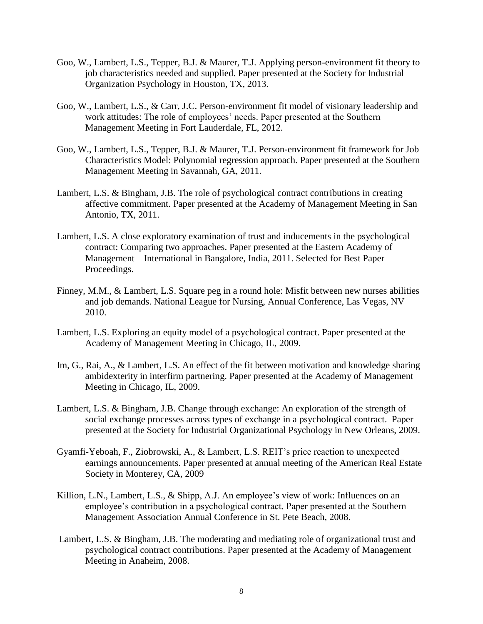- Goo, W., Lambert, L.S., Tepper, B.J. & Maurer, T.J. Applying person-environment fit theory to job characteristics needed and supplied. Paper presented at the Society for Industrial Organization Psychology in Houston, TX, 2013.
- Goo, W., Lambert, L.S., & Carr, J.C. Person-environment fit model of visionary leadership and work attitudes: The role of employees' needs. Paper presented at the Southern Management Meeting in Fort Lauderdale, FL, 2012.
- Goo, W., Lambert, L.S., Tepper, B.J. & Maurer, T.J. Person-environment fit framework for Job Characteristics Model: Polynomial regression approach. Paper presented at the Southern Management Meeting in Savannah, GA, 2011.
- Lambert, L.S. & Bingham, J.B. The role of psychological contract contributions in creating affective commitment. Paper presented at the Academy of Management Meeting in San Antonio, TX, 2011.
- Lambert, L.S. A close exploratory examination of trust and inducements in the psychological contract: Comparing two approaches. Paper presented at the Eastern Academy of Management – International in Bangalore, India, 2011. Selected for Best Paper Proceedings.
- Finney, M.M., & Lambert, L.S. Square peg in a round hole: Misfit between new nurses abilities and job demands. National League for Nursing, Annual Conference, Las Vegas, NV 2010.
- Lambert, L.S. Exploring an equity model of a psychological contract. Paper presented at the Academy of Management Meeting in Chicago, IL, 2009.
- Im, G., Rai, A., & Lambert, L.S. An effect of the fit between motivation and knowledge sharing ambidexterity in interfirm partnering. Paper presented at the Academy of Management Meeting in Chicago, IL, 2009.
- Lambert, L.S. & Bingham, J.B. Change through exchange: An exploration of the strength of social exchange processes across types of exchange in a psychological contract. Paper presented at the Society for Industrial Organizational Psychology in New Orleans, 2009.
- Gyamfi-Yeboah, F., Ziobrowski, A., & Lambert, L.S. REIT's price reaction to unexpected earnings announcements. Paper presented at annual meeting of the American Real Estate Society in Monterey, CA, 2009
- Killion, L.N., Lambert, L.S., & Shipp, A.J. An employee's view of work: Influences on an employee's contribution in a psychological contract. Paper presented at the Southern Management Association Annual Conference in St. Pete Beach, 2008.
- Lambert, L.S. & Bingham, J.B. The moderating and mediating role of organizational trust and psychological contract contributions. Paper presented at the Academy of Management Meeting in Anaheim, 2008.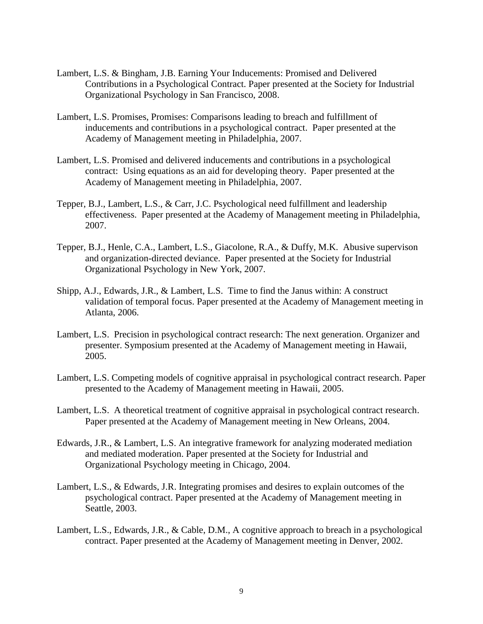- Lambert, L.S. & Bingham, J.B. Earning Your Inducements: Promised and Delivered Contributions in a Psychological Contract. Paper presented at the Society for Industrial Organizational Psychology in San Francisco, 2008.
- Lambert, L.S. Promises, Promises: Comparisons leading to breach and fulfillment of inducements and contributions in a psychological contract. Paper presented at the Academy of Management meeting in Philadelphia, 2007.
- Lambert, L.S. Promised and delivered inducements and contributions in a psychological contract: Using equations as an aid for developing theory. Paper presented at the Academy of Management meeting in Philadelphia, 2007.
- Tepper, B.J., Lambert, L.S., & Carr, J.C. Psychological need fulfillment and leadership effectiveness. Paper presented at the Academy of Management meeting in Philadelphia, 2007.
- Tepper, B.J., Henle, C.A., Lambert, L.S., Giacolone, R.A., & Duffy, M.K. Abusive supervison and organization-directed deviance. Paper presented at the Society for Industrial Organizational Psychology in New York, 2007.
- Shipp, A.J., Edwards, J.R., & Lambert, L.S. Time to find the Janus within: A construct validation of temporal focus. Paper presented at the Academy of Management meeting in Atlanta, 2006.
- Lambert, L.S. Precision in psychological contract research: The next generation. Organizer and presenter. Symposium presented at the Academy of Management meeting in Hawaii, 2005.
- Lambert, L.S. Competing models of cognitive appraisal in psychological contract research. Paper presented to the Academy of Management meeting in Hawaii, 2005.
- Lambert, L.S. A theoretical treatment of cognitive appraisal in psychological contract research. Paper presented at the Academy of Management meeting in New Orleans, 2004.
- Edwards, J.R., & Lambert, L.S. An integrative framework for analyzing moderated mediation and mediated moderation. Paper presented at the Society for Industrial and Organizational Psychology meeting in Chicago, 2004.
- Lambert, L.S., & Edwards, J.R. Integrating promises and desires to explain outcomes of the psychological contract. Paper presented at the Academy of Management meeting in Seattle, 2003.
- Lambert, L.S., Edwards, J.R., & Cable, D.M., A cognitive approach to breach in a psychological contract. Paper presented at the Academy of Management meeting in Denver, 2002.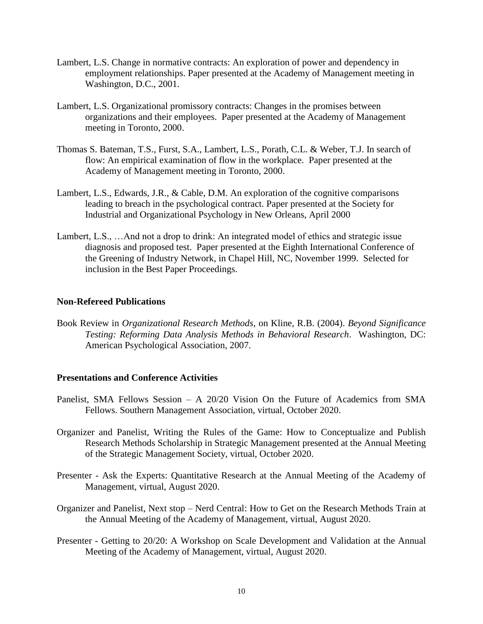- Lambert, L.S. Change in normative contracts: An exploration of power and dependency in employment relationships. Paper presented at the Academy of Management meeting in Washington, D.C., 2001.
- Lambert, L.S. Organizational promissory contracts: Changes in the promises between organizations and their employees. Paper presented at the Academy of Management meeting in Toronto, 2000.
- Thomas S. Bateman, T.S., Furst, S.A., Lambert, L.S., Porath, C.L. & Weber, T.J. In search of flow: An empirical examination of flow in the workplace. Paper presented at the Academy of Management meeting in Toronto, 2000.
- Lambert, L.S., Edwards, J.R., & Cable, D.M. An exploration of the cognitive comparisons leading to breach in the psychological contract. Paper presented at the Society for Industrial and Organizational Psychology in New Orleans, April 2000
- Lambert, L.S., …And not a drop to drink: An integrated model of ethics and strategic issue diagnosis and proposed test. Paper presented at the Eighth International Conference of the Greening of Industry Network, in Chapel Hill, NC, November 1999. Selected for inclusion in the Best Paper Proceedings.

## **Non-Refereed Publications**

Book Review in *Organizational Research Methods*, on Kline, R.B. (2004). *Beyond Significance Testing: Reforming Data Analysis Methods in Behavioral Research*. Washington, DC: American Psychological Association, 2007.

#### **Presentations and Conference Activities**

- Panelist, SMA Fellows Session A 20/20 Vision On the Future of Academics from SMA Fellows. Southern Management Association, virtual, October 2020.
- Organizer and Panelist, Writing the Rules of the Game: How to Conceptualize and Publish Research Methods Scholarship in Strategic Management presented at the Annual Meeting of the Strategic Management Society, virtual, October 2020.
- Presenter Ask the Experts: Quantitative Research at the Annual Meeting of the Academy of Management, virtual, August 2020.
- Organizer and Panelist, Next stop Nerd Central: How to Get on the Research Methods Train at the Annual Meeting of the Academy of Management, virtual, August 2020.
- Presenter Getting to 20/20: A Workshop on Scale Development and Validation at the Annual Meeting of the Academy of Management, virtual, August 2020.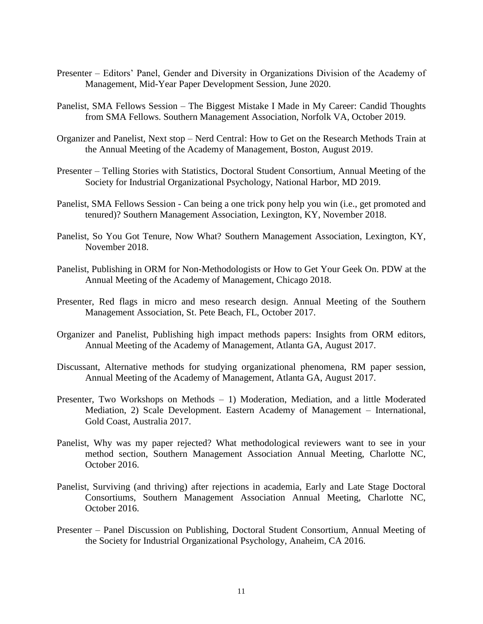- Presenter Editors' Panel, Gender and Diversity in Organizations Division of the Academy of Management, Mid-Year Paper Development Session, June 2020.
- Panelist, SMA Fellows Session The Biggest Mistake I Made in My Career: Candid Thoughts from SMA Fellows. Southern Management Association, Norfolk VA, October 2019.
- Organizer and Panelist, Next stop Nerd Central: How to Get on the Research Methods Train at the Annual Meeting of the Academy of Management, Boston, August 2019.
- Presenter Telling Stories with Statistics, Doctoral Student Consortium, Annual Meeting of the Society for Industrial Organizational Psychology, National Harbor, MD 2019.
- Panelist, SMA Fellows Session Can being a one trick pony help you win (i.e., get promoted and tenured)? Southern Management Association, Lexington, KY, November 2018.
- Panelist, So You Got Tenure, Now What? Southern Management Association, Lexington, KY, November 2018.
- Panelist, Publishing in ORM for Non-Methodologists or How to Get Your Geek On. PDW at the Annual Meeting of the Academy of Management, Chicago 2018.
- Presenter, Red flags in micro and meso research design. Annual Meeting of the Southern Management Association, St. Pete Beach, FL, October 2017.
- Organizer and Panelist, Publishing high impact methods papers: Insights from ORM editors, Annual Meeting of the Academy of Management, Atlanta GA, August 2017.
- Discussant, Alternative methods for studying organizational phenomena, RM paper session, Annual Meeting of the Academy of Management, Atlanta GA, August 2017.
- Presenter, Two Workshops on Methods 1) Moderation, Mediation, and a little Moderated Mediation, 2) Scale Development. Eastern Academy of Management – International, Gold Coast, Australia 2017.
- Panelist, Why was my paper rejected? What methodological reviewers want to see in your method section, Southern Management Association Annual Meeting, Charlotte NC, October 2016.
- Panelist, Surviving (and thriving) after rejections in academia, Early and Late Stage Doctoral Consortiums, Southern Management Association Annual Meeting, Charlotte NC, October 2016.
- Presenter Panel Discussion on Publishing, Doctoral Student Consortium, Annual Meeting of the Society for Industrial Organizational Psychology, Anaheim, CA 2016.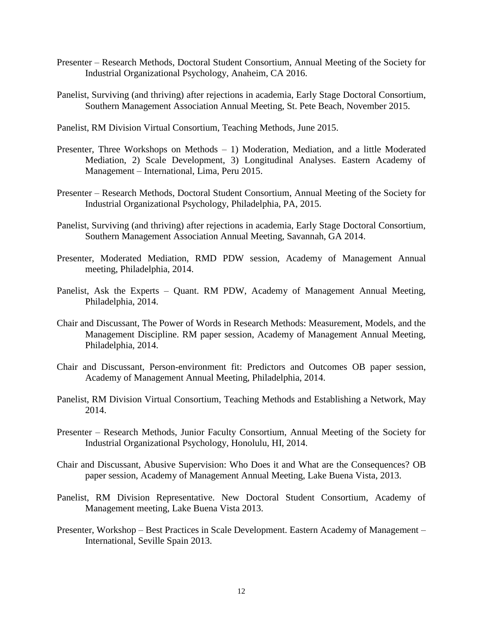- Presenter Research Methods, Doctoral Student Consortium, Annual Meeting of the Society for Industrial Organizational Psychology, Anaheim, CA 2016.
- Panelist, Surviving (and thriving) after rejections in academia, Early Stage Doctoral Consortium, Southern Management Association Annual Meeting, St. Pete Beach, November 2015.

Panelist, RM Division Virtual Consortium, Teaching Methods, June 2015.

- Presenter, Three Workshops on Methods 1) Moderation, Mediation, and a little Moderated Mediation, 2) Scale Development, 3) Longitudinal Analyses. Eastern Academy of Management – International, Lima, Peru 2015.
- Presenter Research Methods, Doctoral Student Consortium, Annual Meeting of the Society for Industrial Organizational Psychology, Philadelphia, PA, 2015.
- Panelist, Surviving (and thriving) after rejections in academia, Early Stage Doctoral Consortium, Southern Management Association Annual Meeting, Savannah, GA 2014.
- Presenter, Moderated Mediation, RMD PDW session, Academy of Management Annual meeting, Philadelphia, 2014.
- Panelist, Ask the Experts Quant. RM PDW, Academy of Management Annual Meeting, Philadelphia, 2014.
- Chair and Discussant, The Power of Words in Research Methods: Measurement, Models, and the Management Discipline. RM paper session, Academy of Management Annual Meeting, Philadelphia, 2014.
- Chair and Discussant, Person-environment fit: Predictors and Outcomes OB paper session, Academy of Management Annual Meeting, Philadelphia, 2014.
- Panelist, RM Division Virtual Consortium, Teaching Methods and Establishing a Network, May 2014.
- Presenter Research Methods, Junior Faculty Consortium, Annual Meeting of the Society for Industrial Organizational Psychology, Honolulu, HI, 2014.
- Chair and Discussant, Abusive Supervision: Who Does it and What are the Consequences? OB paper session, Academy of Management Annual Meeting, Lake Buena Vista, 2013.
- Panelist, RM Division Representative. New Doctoral Student Consortium, Academy of Management meeting, Lake Buena Vista 2013.
- Presenter, Workshop Best Practices in Scale Development. Eastern Academy of Management International, Seville Spain 2013.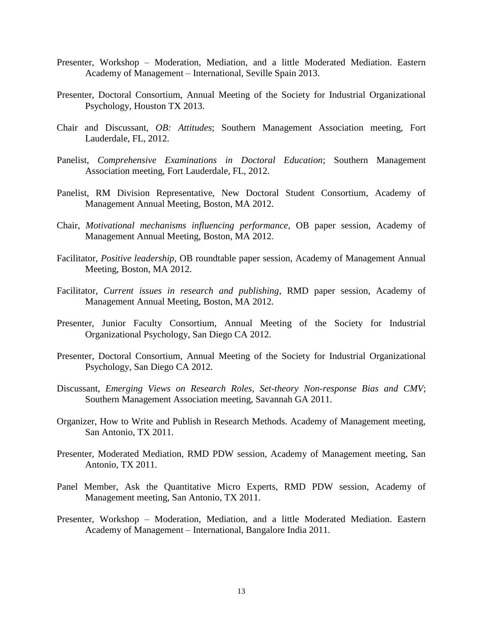- Presenter, Workshop Moderation, Mediation, and a little Moderated Mediation. Eastern Academy of Management – International, Seville Spain 2013.
- Presenter, Doctoral Consortium, Annual Meeting of the Society for Industrial Organizational Psychology, Houston TX 2013.
- Chair and Discussant, *OB: Attitudes*; Southern Management Association meeting, Fort Lauderdale, FL, 2012.
- Panelist, *Comprehensive Examinations in Doctoral Education*; Southern Management Association meeting, Fort Lauderdale, FL, 2012.
- Panelist, RM Division Representative, New Doctoral Student Consortium, Academy of Management Annual Meeting, Boston, MA 2012.
- Chair, *Motivational mechanisms influencing performance*, OB paper session, Academy of Management Annual Meeting, Boston, MA 2012.
- Facilitator, *Positive leadership*, OB roundtable paper session, Academy of Management Annual Meeting, Boston, MA 2012.
- Facilitator, *Current issues in research and publishing*, RMD paper session, Academy of Management Annual Meeting, Boston, MA 2012.
- Presenter, Junior Faculty Consortium, Annual Meeting of the Society for Industrial Organizational Psychology, San Diego CA 2012.
- Presenter, Doctoral Consortium, Annual Meeting of the Society for Industrial Organizational Psychology, San Diego CA 2012.
- Discussant, *Emerging Views on Research Roles, Set-theory Non-response Bias and CMV*; Southern Management Association meeting, Savannah GA 2011.
- Organizer, How to Write and Publish in Research Methods. Academy of Management meeting, San Antonio, TX 2011.
- Presenter, Moderated Mediation, RMD PDW session, Academy of Management meeting, San Antonio, TX 2011.
- Panel Member, Ask the Quantitative Micro Experts, RMD PDW session, Academy of Management meeting, San Antonio, TX 2011.
- Presenter, Workshop Moderation, Mediation, and a little Moderated Mediation. Eastern Academy of Management – International, Bangalore India 2011.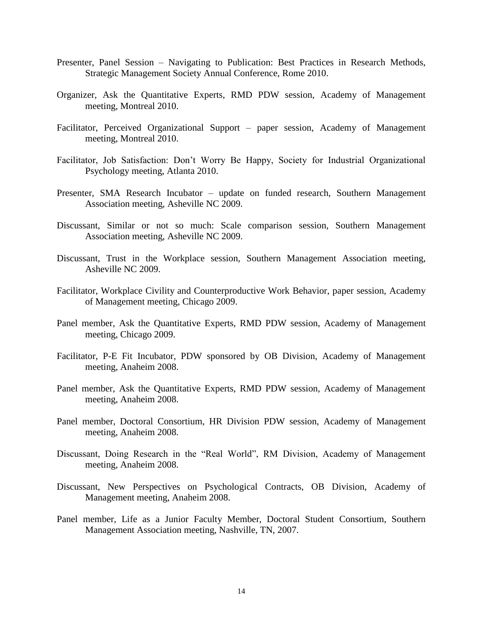- Presenter, Panel Session Navigating to Publication: Best Practices in Research Methods, Strategic Management Society Annual Conference, Rome 2010.
- Organizer, Ask the Quantitative Experts, RMD PDW session, Academy of Management meeting, Montreal 2010.
- Facilitator, Perceived Organizational Support paper session, Academy of Management meeting, Montreal 2010.
- Facilitator, Job Satisfaction: Don't Worry Be Happy, Society for Industrial Organizational Psychology meeting, Atlanta 2010.
- Presenter, SMA Research Incubator update on funded research, Southern Management Association meeting, Asheville NC 2009.
- Discussant, Similar or not so much: Scale comparison session, Southern Management Association meeting, Asheville NC 2009.
- Discussant, Trust in the Workplace session, Southern Management Association meeting, Asheville NC 2009.
- Facilitator, Workplace Civility and Counterproductive Work Behavior, paper session, Academy of Management meeting, Chicago 2009.
- Panel member, Ask the Quantitative Experts, RMD PDW session, Academy of Management meeting, Chicago 2009.
- Facilitator, P-E Fit Incubator, PDW sponsored by OB Division, Academy of Management meeting, Anaheim 2008.
- Panel member, Ask the Quantitative Experts, RMD PDW session, Academy of Management meeting, Anaheim 2008.
- Panel member, Doctoral Consortium, HR Division PDW session, Academy of Management meeting, Anaheim 2008.
- Discussant, Doing Research in the "Real World", RM Division, Academy of Management meeting, Anaheim 2008.
- Discussant, New Perspectives on Psychological Contracts, OB Division, Academy of Management meeting, Anaheim 2008.
- Panel member, Life as a Junior Faculty Member, Doctoral Student Consortium, Southern Management Association meeting, Nashville, TN, 2007.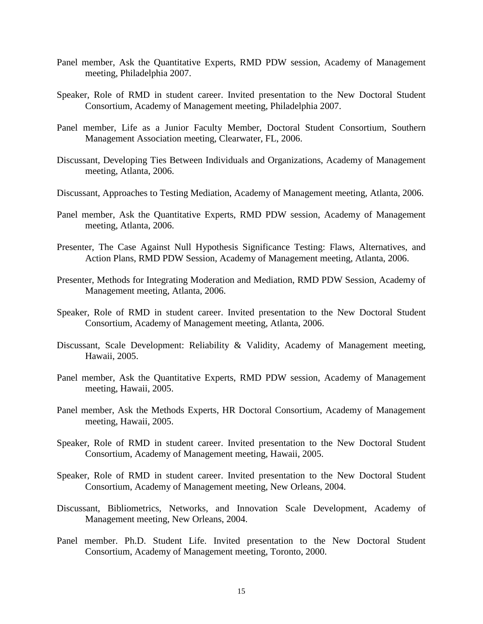- Panel member, Ask the Quantitative Experts, RMD PDW session, Academy of Management meeting, Philadelphia 2007.
- Speaker, Role of RMD in student career. Invited presentation to the New Doctoral Student Consortium, Academy of Management meeting, Philadelphia 2007.
- Panel member, Life as a Junior Faculty Member, Doctoral Student Consortium, Southern Management Association meeting, Clearwater, FL, 2006.
- Discussant, Developing Ties Between Individuals and Organizations, Academy of Management meeting, Atlanta, 2006.
- Discussant, Approaches to Testing Mediation, Academy of Management meeting, Atlanta, 2006.
- Panel member, Ask the Quantitative Experts, RMD PDW session, Academy of Management meeting, Atlanta, 2006.
- Presenter, The Case Against Null Hypothesis Significance Testing: Flaws, Alternatives, and Action Plans, RMD PDW Session, Academy of Management meeting, Atlanta, 2006.
- Presenter, Methods for Integrating Moderation and Mediation, RMD PDW Session, Academy of Management meeting, Atlanta, 2006.
- Speaker, Role of RMD in student career. Invited presentation to the New Doctoral Student Consortium, Academy of Management meeting, Atlanta, 2006.
- Discussant, Scale Development: Reliability & Validity, Academy of Management meeting, Hawaii, 2005.
- Panel member, Ask the Quantitative Experts, RMD PDW session, Academy of Management meeting, Hawaii, 2005.
- Panel member, Ask the Methods Experts, HR Doctoral Consortium, Academy of Management meeting, Hawaii, 2005.
- Speaker, Role of RMD in student career. Invited presentation to the New Doctoral Student Consortium, Academy of Management meeting, Hawaii, 2005.
- Speaker, Role of RMD in student career. Invited presentation to the New Doctoral Student Consortium, Academy of Management meeting, New Orleans, 2004.
- Discussant, Bibliometrics, Networks, and Innovation Scale Development, Academy of Management meeting, New Orleans, 2004.
- Panel member. Ph.D. Student Life. Invited presentation to the New Doctoral Student Consortium, Academy of Management meeting, Toronto, 2000.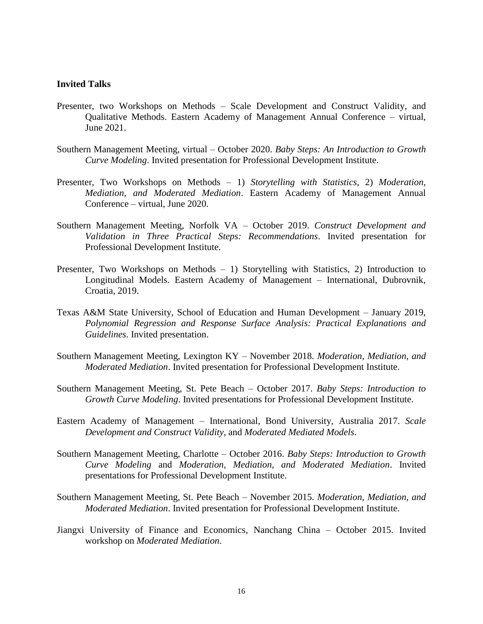#### **Invited Talks**

- Presenter, two Workshops on Methods Scale Development and Construct Validity, and Qualitative Methods. Eastern Academy of Management Annual Conference – virtual, June 2021.
- Southern Management Meeting, virtual October 2020. *Baby Steps: An Introduction to Growth Curve Modeling*. Invited presentation for Professional Development Institute.
- Presenter, Two Workshops on Methods 1) *Storytelling with Statistics*, 2) *Moderation, Mediation, and Moderated Mediation*. Eastern Academy of Management Annual Conference – virtual, June 2020.
- Southern Management Meeting, Norfolk VA October 2019. *Construct Development and Validation in Three Practical Steps: Recommendations*. Invited presentation for Professional Development Institute.
- Presenter, Two Workshops on Methods  $-1$ ) Storytelling with Statistics, 2) Introduction to Longitudinal Models. Eastern Academy of Management – International, Dubrovnik, Croatia, 2019.
- Texas A&M State University, School of Education and Human Development January 2019, *Polynomial Regression and Response Surface Analysis: Practical Explanations and Guidelines*. Invited presentation.
- Southern Management Meeting, Lexington KY November 2018. *Moderation, Mediation, and Moderated Mediation*. Invited presentation for Professional Development Institute.
- Southern Management Meeting, St. Pete Beach October 2017. *Baby Steps: Introduction to Growth Curve Modeling*. Invited presentations for Professional Development Institute.
- Eastern Academy of Management International, Bond University, Australia 2017. *Scale Development and Construct Validity*, and *Moderated Mediated Models*.
- Southern Management Meeting, Charlotte October 2016. *Baby Steps: Introduction to Growth Curve Modeling* and *Moderation, Mediation, and Moderated Mediation*. Invited presentations for Professional Development Institute.
- Southern Management Meeting, St. Pete Beach November 2015. *Moderation, Mediation, and Moderated Mediation*. Invited presentation for Professional Development Institute.
- Jiangxi University of Finance and Economics, Nanchang China October 2015. Invited workshop on *Moderated Mediation*.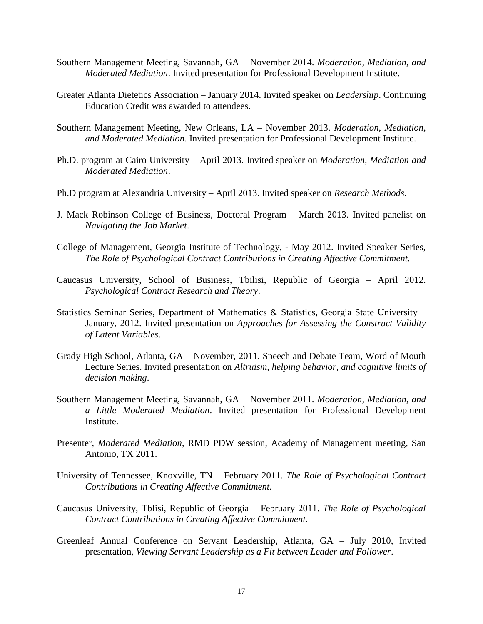- Southern Management Meeting, Savannah, GA November 2014. *Moderation, Mediation, and Moderated Mediation*. Invited presentation for Professional Development Institute.
- Greater Atlanta Dietetics Association January 2014. Invited speaker on *Leadership*. Continuing Education Credit was awarded to attendees.
- Southern Management Meeting, New Orleans, LA November 2013. *Moderation, Mediation, and Moderated Mediation*. Invited presentation for Professional Development Institute.
- Ph.D. program at Cairo University April 2013. Invited speaker on *Moderation, Mediation and Moderated Mediation*.
- Ph.D program at Alexandria University April 2013. Invited speaker on *Research Methods*.
- J. Mack Robinson College of Business, Doctoral Program March 2013. Invited panelist on *Navigating the Job Market*.
- College of Management, Georgia Institute of Technology, May 2012. Invited Speaker Series, *The Role of Psychological Contract Contributions in Creating Affective Commitment.*
- Caucasus University, School of Business, Tbilisi, Republic of Georgia April 2012. *Psychological Contract Research and Theory*.
- Statistics Seminar Series, Department of Mathematics & Statistics, Georgia State University January, 2012. Invited presentation on *Approaches for Assessing the Construct Validity of Latent Variables*.
- Grady High School, Atlanta, GA November, 2011. Speech and Debate Team, Word of Mouth Lecture Series. Invited presentation on *Altruism, helping behavior, and cognitive limits of decision making*.
- Southern Management Meeting, Savannah, GA November 2011. *Moderation, Mediation, and a Little Moderated Mediation*. Invited presentation for Professional Development Institute.
- Presenter, *Moderated Mediation*, RMD PDW session, Academy of Management meeting, San Antonio, TX 2011.
- University of Tennessee, Knoxville, TN February 2011. *The Role of Psychological Contract Contributions in Creating Affective Commitment.*
- Caucasus University, Tblisi, Republic of Georgia February 2011. *The Role of Psychological Contract Contributions in Creating Affective Commitment.*
- Greenleaf Annual Conference on Servant Leadership, Atlanta, GA July 2010, Invited presentation, *Viewing Servant Leadership as a Fit between Leader and Follower*.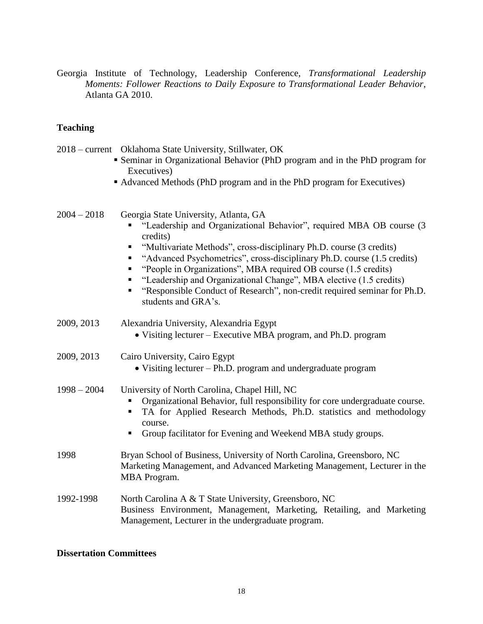Georgia Institute of Technology, Leadership Conference, *Transformational Leadership Moments: Follower Reactions to Daily Exposure to Transformational Leader Behavior*, Atlanta GA 2010.

# **Teaching**

|               | 2018 – current Oklahoma State University, Stillwater, OK                                                                                                                                                                                                                                                                                                                                                                                                                                                                |
|---------------|-------------------------------------------------------------------------------------------------------------------------------------------------------------------------------------------------------------------------------------------------------------------------------------------------------------------------------------------------------------------------------------------------------------------------------------------------------------------------------------------------------------------------|
|               | • Seminar in Organizational Behavior (PhD program and in the PhD program for<br>Executives)                                                                                                                                                                                                                                                                                                                                                                                                                             |
|               | • Advanced Methods (PhD program and in the PhD program for Executives)                                                                                                                                                                                                                                                                                                                                                                                                                                                  |
| $2004 - 2018$ | Georgia State University, Atlanta, GA<br>"Leadership and Organizational Behavior", required MBA OB course (3)<br>credits)<br>"Multivariate Methods", cross-disciplinary Ph.D. course (3 credits)<br>"Advanced Psychometrics", cross-disciplinary Ph.D. course (1.5 credits)<br>"People in Organizations", MBA required OB course (1.5 credits)<br>"Leadership and Organizational Change", MBA elective (1.5 credits)<br>"Responsible Conduct of Research", non-credit required seminar for Ph.D.<br>students and GRA's. |
| 2009, 2013    | Alexandria University, Alexandria Egypt<br>• Visiting lecturer – Executive MBA program, and Ph.D. program                                                                                                                                                                                                                                                                                                                                                                                                               |
| 2009, 2013    | Cairo University, Cairo Egypt<br>• Visiting lecturer – Ph.D. program and undergraduate program                                                                                                                                                                                                                                                                                                                                                                                                                          |
| $1998 - 2004$ | University of North Carolina, Chapel Hill, NC<br>Organizational Behavior, full responsibility for core undergraduate course.<br>TA for Applied Research Methods, Ph.D. statistics and methodology<br>course.<br>Group facilitator for Evening and Weekend MBA study groups.                                                                                                                                                                                                                                             |
| 1998          | Bryan School of Business, University of North Carolina, Greensboro, NC<br>Marketing Management, and Advanced Marketing Management, Lecturer in the<br>MBA Program.                                                                                                                                                                                                                                                                                                                                                      |
| 1992-1998     | North Carolina A & T State University, Greensboro, NC<br>Business Environment, Management, Marketing, Retailing, and Marketing<br>Management, Lecturer in the undergraduate program.                                                                                                                                                                                                                                                                                                                                    |

## **Dissertation Committees**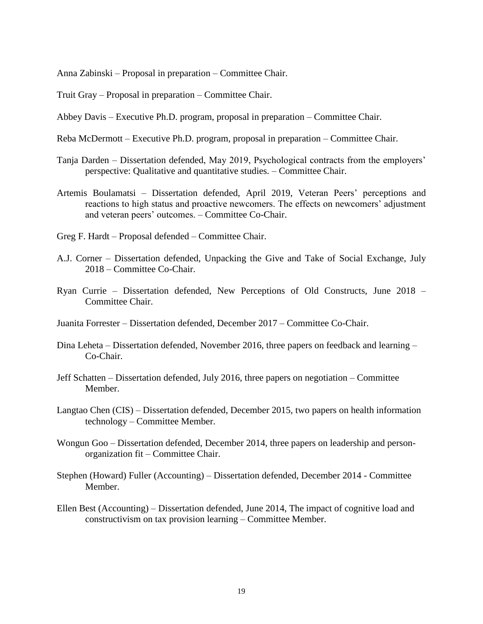Anna Zabinski – Proposal in preparation – Committee Chair.

Truit Gray – Proposal in preparation – Committee Chair.

Abbey Davis – Executive Ph.D. program, proposal in preparation – Committee Chair.

- Reba McDermott Executive Ph.D. program, proposal in preparation Committee Chair.
- Tanja Darden Dissertation defended, May 2019, Psychological contracts from the employers' perspective: Qualitative and quantitative studies. – Committee Chair.
- Artemis Boulamatsi Dissertation defended, April 2019, Veteran Peers' perceptions and reactions to high status and proactive newcomers. The effects on newcomers' adjustment and veteran peers' outcomes. – Committee Co-Chair.
- Greg F. Hardt Proposal defended Committee Chair.
- A.J. Corner Dissertation defended, Unpacking the Give and Take of Social Exchange, July 2018 – Committee Co-Chair.
- Ryan Currie Dissertation defended, New Perceptions of Old Constructs, June 2018 Committee Chair.
- Juanita Forrester Dissertation defended, December 2017 Committee Co-Chair.
- Dina Leheta Dissertation defended, November 2016, three papers on feedback and learning Co-Chair.
- Jeff Schatten Dissertation defended, July 2016, three papers on negotiation Committee Member.
- Langtao Chen (CIS) Dissertation defended, December 2015, two papers on health information technology – Committee Member.
- Wongun Goo Dissertation defended, December 2014, three papers on leadership and personorganization fit – Committee Chair.
- Stephen (Howard) Fuller (Accounting) Dissertation defended, December 2014 Committee Member.
- Ellen Best (Accounting) Dissertation defended, June 2014, The impact of cognitive load and constructivism on tax provision learning – Committee Member.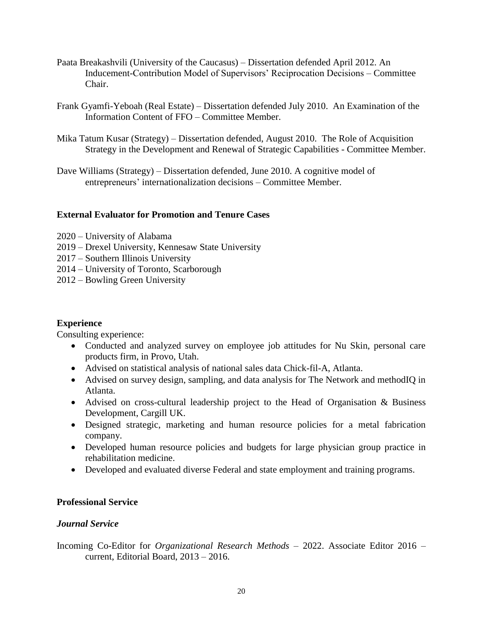- Paata Breakashvili (University of the Caucasus) Dissertation defended April 2012. An Inducement-Contribution Model of Supervisors' Reciprocation Decisions – Committee Chair.
- Frank Gyamfi-Yeboah (Real Estate) Dissertation defended July 2010. An Examination of the Information Content of FFO – Committee Member.
- Mika Tatum Kusar (Strategy) Dissertation defended, August 2010. The Role of Acquisition Strategy in the Development and Renewal of Strategic Capabilities - Committee Member.
- Dave Williams (Strategy) Dissertation defended, June 2010. A cognitive model of entrepreneurs' internationalization decisions – Committee Member.

## **External Evaluator for Promotion and Tenure Cases**

- 2020 University of Alabama
- 2019 Drexel University, Kennesaw State University
- 2017 Southern Illinois University
- 2014 University of Toronto, Scarborough
- 2012 Bowling Green University

## **Experience**

Consulting experience:

- Conducted and analyzed survey on employee job attitudes for Nu Skin, personal care products firm, in Provo, Utah.
- Advised on statistical analysis of national sales data Chick-fil-A, Atlanta.
- Advised on survey design, sampling, and data analysis for The Network and methodIQ in Atlanta.
- Advised on cross-cultural leadership project to the Head of Organisation & Business Development, Cargill UK.
- Designed strategic, marketing and human resource policies for a metal fabrication company.
- Developed human resource policies and budgets for large physician group practice in rehabilitation medicine.
- Developed and evaluated diverse Federal and state employment and training programs.

## **Professional Service**

## *Journal Service*

Incoming Co-Editor for *Organizational Research Methods* – 2022. Associate Editor 2016 – current, Editorial Board, 2013 – 2016.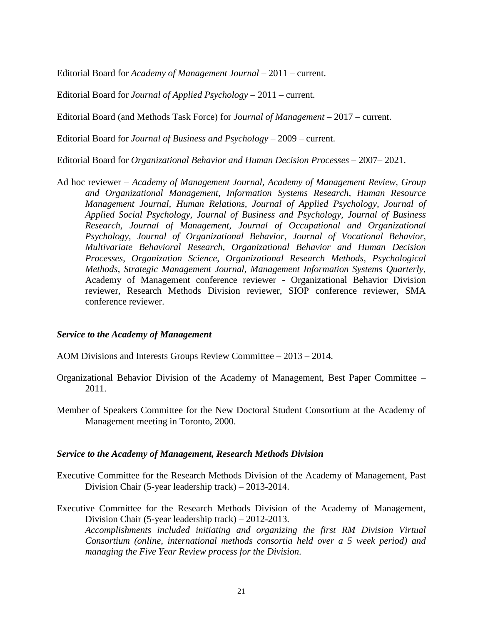Editorial Board for *Academy of Management Journal* – 2011 – current.

Editorial Board for *Journal of Applied Psychology* – 2011 – current.

Editorial Board (and Methods Task Force) for *Journal of Management* – 2017 – current.

Editorial Board for *Journal of Business and Psychology* – 2009 – current.

Editorial Board for *Organizational Behavior and Human Decision Processes* – 2007– 2021.

Ad hoc reviewer – *Academy of Management Journal, Academy of Management Review, Group and Organizational Management, Information Systems Research*, *Human Resource Management Journal, Human Relations, Journal of Applied Psychology, Journal of Applied Social Psychology, Journal of Business and Psychology, Journal of Business Research, Journal of Management, Journal of Occupational and Organizational Psychology, Journal of Organizational Behavior*, *Journal of Vocational Behavior, Multivariate Behavioral Research, Organizational Behavior and Human Decision Processes*, *Organization Science*, *Organizational Research Methods, Psychological Methods*, *Strategic Management Journal*, *Management Information Systems Quarterly*, Academy of Management conference reviewer - Organizational Behavior Division reviewer, Research Methods Division reviewer, SIOP conference reviewer, SMA conference reviewer.

#### *Service to the Academy of Management*

- AOM Divisions and Interests Groups Review Committee 2013 2014.
- Organizational Behavior Division of the Academy of Management, Best Paper Committee 2011.
- Member of Speakers Committee for the New Doctoral Student Consortium at the Academy of Management meeting in Toronto, 2000.

#### *Service to the Academy of Management, Research Methods Division*

- Executive Committee for the Research Methods Division of the Academy of Management, Past Division Chair (5-year leadership track) – 2013-2014.
- Executive Committee for the Research Methods Division of the Academy of Management, Division Chair (5-year leadership track) – 2012-2013. *Accomplishments included initiating and organizing the first RM Division Virtual Consortium (online, international methods consortia held over a 5 week period) and managing the Five Year Review process for the Division.*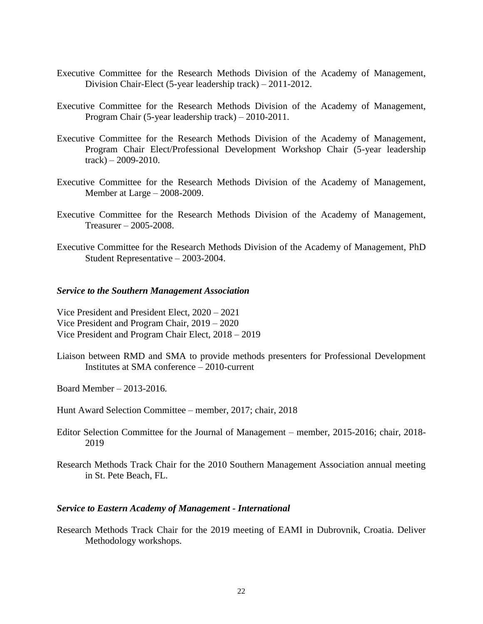- Executive Committee for the Research Methods Division of the Academy of Management, Division Chair-Elect (5-year leadership track) – 2011-2012.
- Executive Committee for the Research Methods Division of the Academy of Management, Program Chair (5-year leadership track) – 2010-2011.
- Executive Committee for the Research Methods Division of the Academy of Management, Program Chair Elect/Professional Development Workshop Chair (5-year leadership  $track) - 2009 - 2010.$
- Executive Committee for the Research Methods Division of the Academy of Management, Member at Large – 2008-2009.
- Executive Committee for the Research Methods Division of the Academy of Management, Treasurer – 2005-2008.
- Executive Committee for the Research Methods Division of the Academy of Management, PhD Student Representative – 2003-2004.

#### *Service to the Southern Management Association*

Vice President and President Elect, 2020 – 2021 Vice President and Program Chair, 2019 – 2020 Vice President and Program Chair Elect, 2018 – 2019

Liaison between RMD and SMA to provide methods presenters for Professional Development Institutes at SMA conference – 2010-current

Board Member – 2013-2016*.*

- Hunt Award Selection Committee member, 2017; chair, 2018
- Editor Selection Committee for the Journal of Management member, 2015-2016; chair, 2018- 2019
- Research Methods Track Chair for the 2010 Southern Management Association annual meeting in St. Pete Beach, FL.

#### *Service to Eastern Academy of Management - International*

Research Methods Track Chair for the 2019 meeting of EAMI in Dubrovnik, Croatia. Deliver Methodology workshops.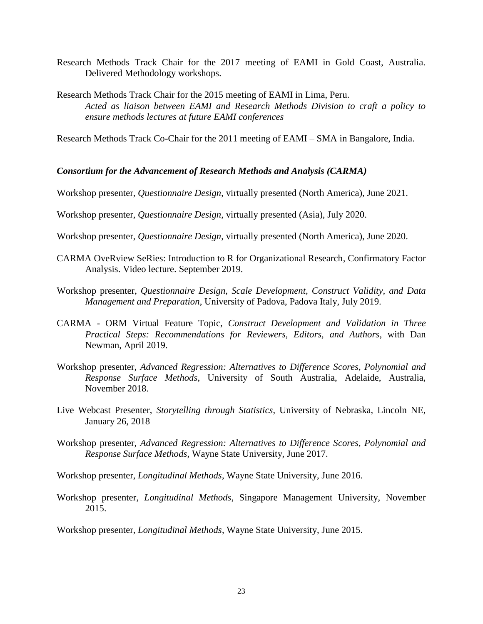- Research Methods Track Chair for the 2017 meeting of EAMI in Gold Coast, Australia. Delivered Methodology workshops.
- Research Methods Track Chair for the 2015 meeting of EAMI in Lima, Peru. *Acted as liaison between EAMI and Research Methods Division to craft a policy to ensure methods lectures at future EAMI conferences*

Research Methods Track Co-Chair for the 2011 meeting of EAMI – SMA in Bangalore, India.

#### *Consortium for the Advancement of Research Methods and Analysis (CARMA)*

Workshop presenter, *Questionnaire Design*, virtually presented (North America), June 2021.

Workshop presenter, *Questionnaire Design*, virtually presented (Asia), July 2020.

Workshop presenter, *Questionnaire Design*, virtually presented (North America), June 2020.

- CARMA OveRview SeRies: Introduction to R for Organizational Research, Confirmatory Factor Analysis. Video lecture. September 2019.
- Workshop presenter, *Questionnaire Design, Scale Development, Construct Validity, and Data Management and Preparation*, University of Padova, Padova Italy, July 2019.
- CARMA ORM Virtual Feature Topic, *Construct Development and Validation in Three Practical Steps: Recommendations for Reviewers, Editors, and Authors*, with Dan Newman, April 2019.
- Workshop presenter, *Advanced Regression: Alternatives to Difference Scores, Polynomial and Response Surface Methods*, University of South Australia, Adelaide, Australia, November 2018.
- Live Webcast Presenter, *Storytelling through Statistics*, University of Nebraska, Lincoln NE, January 26, 2018
- Workshop presenter, *Advanced Regression: Alternatives to Difference Scores, Polynomial and Response Surface Methods*, Wayne State University, June 2017.
- Workshop presenter, *Longitudinal Methods*, Wayne State University, June 2016.
- Workshop presenter, *Longitudinal Methods*, Singapore Management University, November 2015.

Workshop presenter, *Longitudinal Methods*, Wayne State University, June 2015.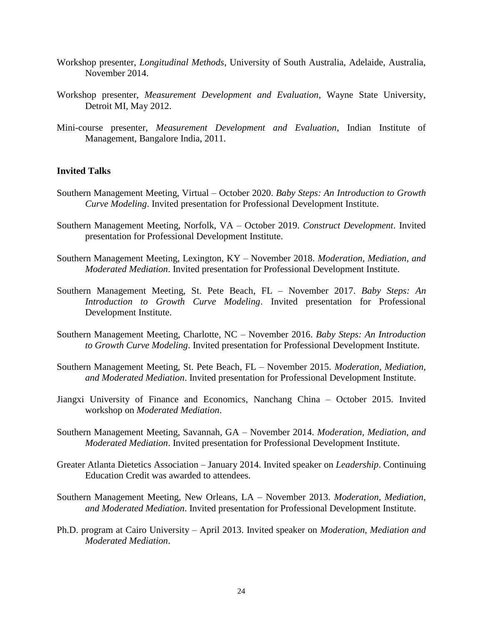- Workshop presenter, *Longitudinal Methods*, University of South Australia, Adelaide, Australia, November 2014.
- Workshop presenter, *Measurement Development and Evaluation*, Wayne State University, Detroit MI, May 2012.
- Mini-course presenter, *Measurement Development and Evaluation*, Indian Institute of Management, Bangalore India, 2011.

#### **Invited Talks**

- Southern Management Meeting, Virtual October 2020. *Baby Steps: An Introduction to Growth Curve Modeling*. Invited presentation for Professional Development Institute.
- Southern Management Meeting, Norfolk, VA October 2019. *Construct Development*. Invited presentation for Professional Development Institute.
- Southern Management Meeting, Lexington, KY November 2018. *Moderation, Mediation, and Moderated Mediation*. Invited presentation for Professional Development Institute.
- Southern Management Meeting, St. Pete Beach, FL November 2017. *Baby Steps: An Introduction to Growth Curve Modeling*. Invited presentation for Professional Development Institute.
- Southern Management Meeting, Charlotte, NC November 2016. *Baby Steps: An Introduction to Growth Curve Modeling*. Invited presentation for Professional Development Institute.
- Southern Management Meeting, St. Pete Beach, FL November 2015. *Moderation, Mediation, and Moderated Mediation*. Invited presentation for Professional Development Institute.
- Jiangxi University of Finance and Economics, Nanchang China October 2015. Invited workshop on *Moderated Mediation*.
- Southern Management Meeting, Savannah, GA November 2014. *Moderation, Mediation, and Moderated Mediation*. Invited presentation for Professional Development Institute.
- Greater Atlanta Dietetics Association January 2014. Invited speaker on *Leadership*. Continuing Education Credit was awarded to attendees.
- Southern Management Meeting, New Orleans, LA November 2013. *Moderation, Mediation, and Moderated Mediation*. Invited presentation for Professional Development Institute.
- Ph.D. program at Cairo University April 2013. Invited speaker on *Moderation, Mediation and Moderated Mediation*.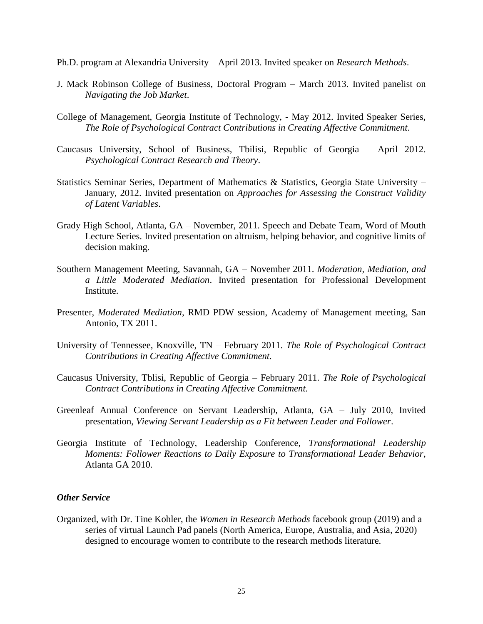Ph.D. program at Alexandria University – April 2013. Invited speaker on *Research Methods*.

- J. Mack Robinson College of Business, Doctoral Program March 2013. Invited panelist on *Navigating the Job Market*.
- College of Management, Georgia Institute of Technology, May 2012. Invited Speaker Series, *The Role of Psychological Contract Contributions in Creating Affective Commitment.*
- Caucasus University, School of Business, Tbilisi, Republic of Georgia April 2012. *Psychological Contract Research and Theory*.
- Statistics Seminar Series, Department of Mathematics & Statistics, Georgia State University January, 2012. Invited presentation on *Approaches for Assessing the Construct Validity of Latent Variables*.
- Grady High School, Atlanta, GA November, 2011. Speech and Debate Team, Word of Mouth Lecture Series. Invited presentation on altruism, helping behavior, and cognitive limits of decision making.
- Southern Management Meeting, Savannah, GA November 2011. *Moderation, Mediation, and a Little Moderated Mediation*. Invited presentation for Professional Development Institute.
- Presenter, *Moderated Mediation*, RMD PDW session, Academy of Management meeting, San Antonio, TX 2011.
- University of Tennessee, Knoxville, TN February 2011. *The Role of Psychological Contract Contributions in Creating Affective Commitment.*
- Caucasus University, Tblisi, Republic of Georgia February 2011. *The Role of Psychological Contract Contributions in Creating Affective Commitment.*
- Greenleaf Annual Conference on Servant Leadership, Atlanta, GA July 2010, Invited presentation, *Viewing Servant Leadership as a Fit between Leader and Follower*.
- Georgia Institute of Technology, Leadership Conference, *Transformational Leadership Moments: Follower Reactions to Daily Exposure to Transformational Leader Behavior*, Atlanta GA 2010.

#### *Other Service*

Organized, with Dr. Tine Kohler, the *Women in Research Methods* facebook group (2019) and a series of virtual Launch Pad panels (North America, Europe, Australia, and Asia, 2020) designed to encourage women to contribute to the research methods literature.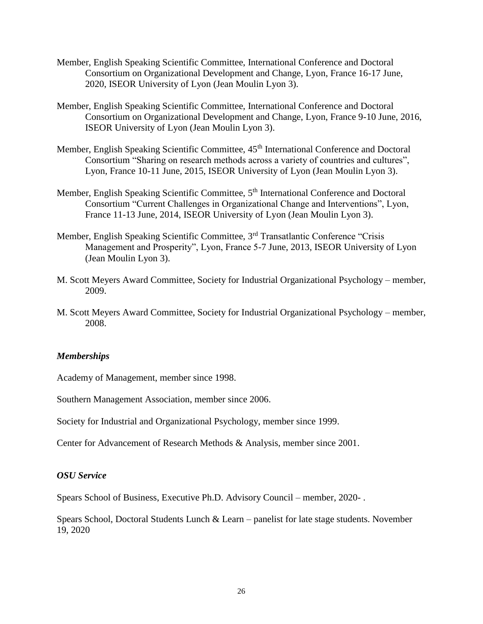- Member, English Speaking Scientific Committee, International Conference and Doctoral Consortium on Organizational Development and Change, Lyon, France 16-17 June, 2020, ISEOR University of Lyon (Jean Moulin Lyon 3).
- Member, English Speaking Scientific Committee, International Conference and Doctoral Consortium on Organizational Development and Change, Lyon, France 9-10 June, 2016, ISEOR University of Lyon (Jean Moulin Lyon 3).
- Member, English Speaking Scientific Committee,  $45<sup>th</sup>$  International Conference and Doctoral Consortium "Sharing on research methods across a variety of countries and cultures", Lyon, France 10-11 June, 2015, ISEOR University of Lyon (Jean Moulin Lyon 3).
- Member, English Speaking Scientific Committee, 5th International Conference and Doctoral Consortium "Current Challenges in Organizational Change and Interventions", Lyon, France 11-13 June, 2014, ISEOR University of Lyon (Jean Moulin Lyon 3).
- Member, English Speaking Scientific Committee, 3<sup>rd</sup> Transatlantic Conference "Crisis" Management and Prosperity", Lyon, France 5-7 June, 2013, ISEOR University of Lyon (Jean Moulin Lyon 3).
- M. Scott Meyers Award Committee, Society for Industrial Organizational Psychology member, 2009.
- M. Scott Meyers Award Committee, Society for Industrial Organizational Psychology member, 2008.

## *Memberships*

Academy of Management, member since 1998.

Southern Management Association, member since 2006.

Society for Industrial and Organizational Psychology, member since 1999.

Center for Advancement of Research Methods & Analysis, member since 2001.

#### *OSU Service*

Spears School of Business, Executive Ph.D. Advisory Council – member, 2020- .

Spears School, Doctoral Students Lunch & Learn – panelist for late stage students. November 19, 2020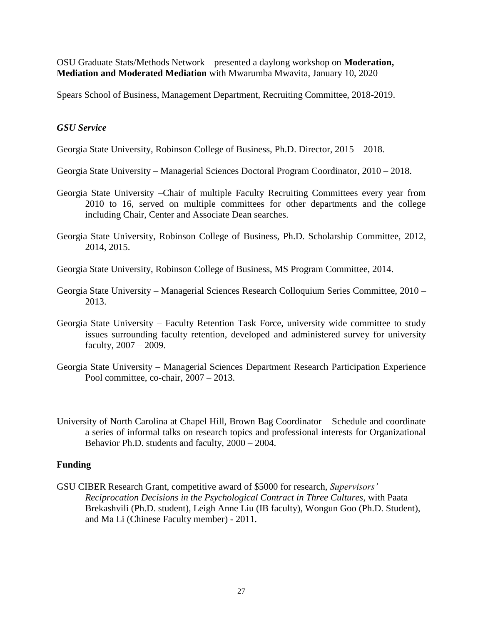OSU Graduate Stats/Methods Network – presented a daylong workshop on **Moderation, Mediation and Moderated Mediation** with Mwarumba Mwavita, January 10, 2020

Spears School of Business, Management Department, Recruiting Committee, 2018-2019.

#### *GSU Service*

Georgia State University, Robinson College of Business, Ph.D. Director, 2015 – 2018.

Georgia State University – Managerial Sciences Doctoral Program Coordinator, 2010 – 2018.

- Georgia State University –Chair of multiple Faculty Recruiting Committees every year from 2010 to 16, served on multiple committees for other departments and the college including Chair, Center and Associate Dean searches.
- Georgia State University, Robinson College of Business, Ph.D. Scholarship Committee, 2012, 2014, 2015.

Georgia State University, Robinson College of Business, MS Program Committee, 2014.

- Georgia State University Managerial Sciences Research Colloquium Series Committee, 2010 2013.
- Georgia State University Faculty Retention Task Force, university wide committee to study issues surrounding faculty retention, developed and administered survey for university faculty, 2007 – 2009.
- Georgia State University Managerial Sciences Department Research Participation Experience Pool committee, co-chair, 2007 – 2013.
- University of North Carolina at Chapel Hill, Brown Bag Coordinator Schedule and coordinate a series of informal talks on research topics and professional interests for Organizational Behavior Ph.D. students and faculty, 2000 – 2004.

## **Funding**

GSU CIBER Research Grant, competitive award of \$5000 for research, *Supervisors' Reciprocation Decisions in the Psychological Contract in Three Cultures*, with Paata Brekashvili (Ph.D. student), Leigh Anne Liu (IB faculty), Wongun Goo (Ph.D. Student), and Ma Li (Chinese Faculty member) - 2011.